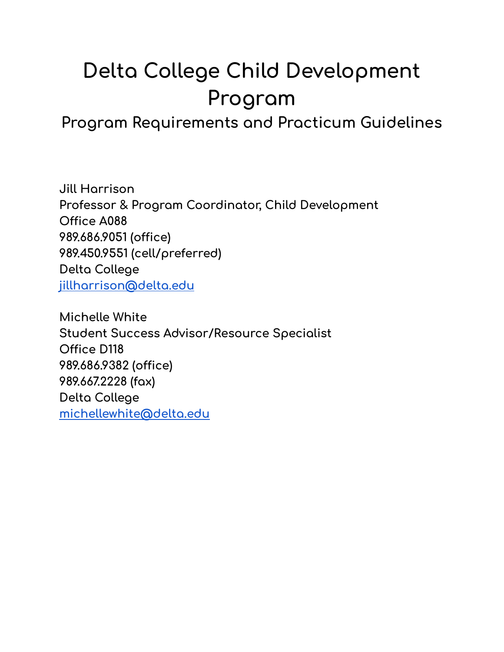# **Delta College Child Development Program**

**Program Requirements and Practicum Guidelines**

**Jill Harrison Professor & Program Coordinator, Child Development Office A088 989.686.9051 (office) 989.450.9551 (cell/preferred) Delta College [jillharrison@delta.edu](mailto:jillharrison@delta.edu)**

**Michelle White Student Success Advisor/Resource Specialist Office D118 989.686.9382 (office) 989.667.2228 (fax) Delta College [michellewhite@delta.edu](mailto:michellewhite@delta.edu)**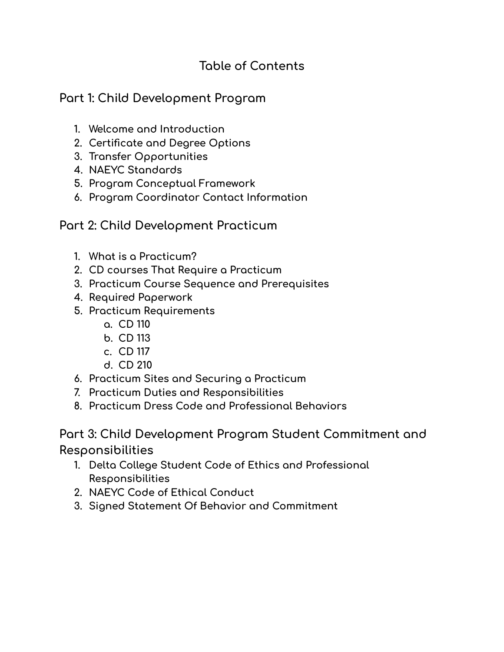## **Table of Contents**

## **Part 1: Child Development Program**

- **1. Welcome and Introduction**
- **2. Certificate and Degree Options**
- **3. Transfer Opportunities**
- **4. NAEYC Standards**
- **5. Program Conceptual Framework**
- **6. Program Coordinator Contact Information**

### **Part 2: Child Development Practicum**

- **1. What is a Practicum?**
- **2. CD courses That Require a Practicum**
- **3. Practicum Course Sequence and Prerequisites**
- **4. Required Paperwork**
- **5. Practicum Requirements**
	- **a. CD 110**
	- **b. CD 113**
	- **c. CD 117**
	- **d. CD 210**
- **6. Practicum Sites and Securing a Practicum**
- **7. Practicum Duties and Responsibilities**
- **8. Practicum Dress Code and Professional Behaviors**

**Part 3: Child Development Program Student Commitment and Responsibilities**

- **1. Delta College Student Code of Ethics and Professional Responsibilities**
- **2. NAEYC Code of Ethical Conduct**
- **3. Signed Statement Of Behavior and Commitment**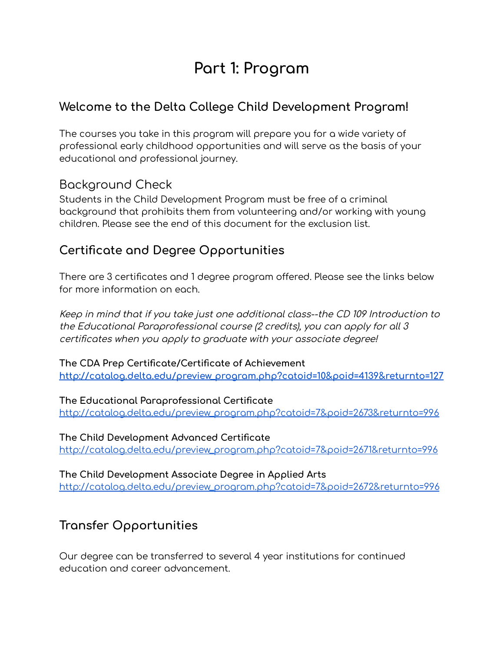## **Part 1: Program**

## **Welcome to the Delta College Child Development Program!**

The courses you take in this program will prepare you for a wide variety of professional early childhood opportunities and will serve as the basis of your educational and professional journey.

## Background Check

Students in the Child Development Program must be free of a criminal background that prohibits them from volunteering and/or working with young children. Please see the end of this document for the exclusion list.

## **Certificate and Degree Opportunities**

There are 3 certificates and 1 degree program offered. Please see the links below for more information on each.

Keep in mind that if you take just one additional class--the CD 109 Introduction to the Educational Paraprofessional course (2 credits), you can apply for all 3 certificates when you apply to graduate with your associate degree!

**The CDA Prep Certificate/Certificate of Achievement [http://catalog.delta.edu/preview\\_program.php?catoid=10&poid=4139&returnto=127](http://catalog.delta.edu/preview_program.php?catoid=10&poid=4139&returnto=127)**

**The Educational Paraprofessional Certificate** [http://catalog.delta.edu/preview\\_program.php?catoid=7&poid=2673&returnto=996](http://catalog.delta.edu/preview_program.php?catoid=7&poid=2673&returnto=996)

**The Child Development Advanced Certificate** [http://catalog.delta.edu/preview\\_program.php?catoid=7&poid=2671&returnto=996](http://catalog.delta.edu/preview_program.php?catoid=7&poid=2671&returnto=996)

**The Child Development Associate Degree in Applied Arts** [http://catalog.delta.edu/preview\\_program.php?catoid=7&poid=2672&returnto=996](http://catalog.delta.edu/preview_program.php?catoid=7&poid=2672&returnto=996)

## **Transfer Opportunities**

Our degree can be transferred to several 4 year institutions for continued education and career advancement.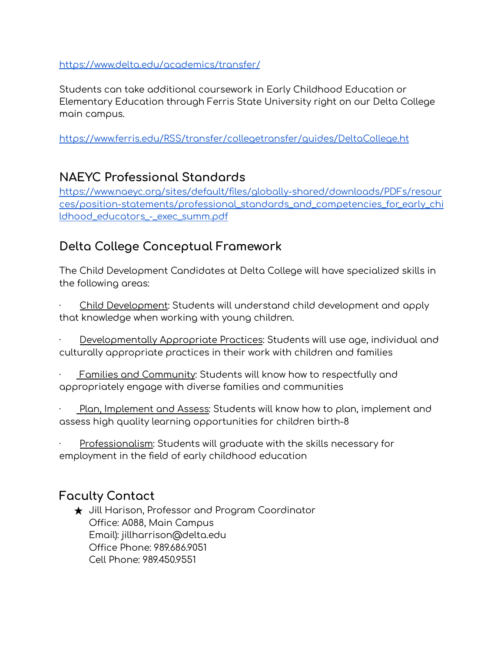### <https://www.delta.edu/academics/transfer/>

Students can take additional coursework in Early Childhood Education or Elementary Education through Ferris State University right on our Delta College main campus.

[https://www.ferris.edu/RSS/transfer/collegetransfer/guides/DeltaCollege.ht](https://www.ferris.edu/RSS/transfer/collegetransfer/guides/DeltaCollege.htm)

### **NAEYC Professional Standards**

[https://www.naeyc.org/sites/default/files/globally-shared/downloads/PDFs/resour](https://www.naeyc.org/sites/default/files/globally-shared/downloads/PDFs/resources/position-statements/professional_standards_and_competencies_for_early_childhood_educators_-_exec_summ.pdf) [ces/position-statements/professional\\_standards\\_and\\_competencies\\_for\\_early\\_chi](https://www.naeyc.org/sites/default/files/globally-shared/downloads/PDFs/resources/position-statements/professional_standards_and_competencies_for_early_childhood_educators_-_exec_summ.pdf) [ldhood\\_educators\\_-\\_exec\\_summ.pdf](https://www.naeyc.org/sites/default/files/globally-shared/downloads/PDFs/resources/position-statements/professional_standards_and_competencies_for_early_childhood_educators_-_exec_summ.pdf)

## **Delta College Conceptual Framework**

The Child Development Candidates at Delta College will have specialized skills in the following areas:

Child Development: Students will understand child development and apply that knowledge when working with young children.

· Developmentally Appropriate Practices: Students will use age, individual and culturally appropriate practices in their work with children and families

Families and Community: Students will know how to respectfully and appropriately engage with diverse families and communities

· Plan, Implement and Assess: Students will know how to plan, implement and assess high quality learning opportunities for children birth-8

Professionalism: Students will graduate with the skills necessary for employment in the field of early childhood education

## **Faculty Contact**

★ Jill Harison, Professor and Program Coordinator Office: A088, Main Campus Email): jillharrison@delta.edu Office Phone: 989.686.9051 Cell Phone: 989.450.9551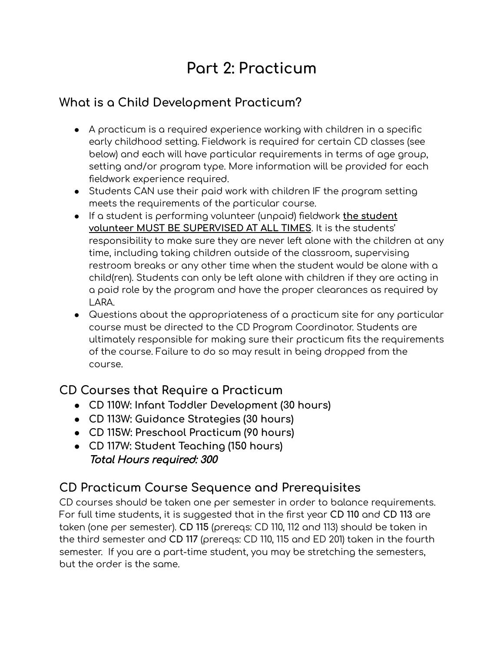## **Part 2: Practicum**

## **What is a Child Development Practicum?**

- A practicum is a required experience working with children in a specific early childhood setting. Fieldwork is required for certain CD classes (see below) and each will have particular requirements in terms of age group, setting and/or program type. More information will be provided for each fieldwork experience required.
- Students CAN use their paid work with children IF the program setting meets the requirements of the particular course.
- If a student is performing volunteer (unpaid) fieldwork **the student volunteer MUST BE SUPERVISED AT ALL TIMES**. It is the students' responsibility to make sure they are never left alone with the children at any time, including taking children outside of the classroom, supervising restroom breaks or any other time when the student would be alone with a child(ren). Students can only be left alone with children if they are acting in a paid role by the program and have the proper clearances as required by LARA.
- Questions about the appropriateness of a practicum site for any particular course must be directed to the CD Program Coordinator. Students are ultimately responsible for making sure their practicum fits the requirements of the course. Failure to do so may result in being dropped from the course.

## **CD Courses that Require a Practicum**

- **● CD 110W: Infant Toddler Development (30 hours)**
- **● CD 113W: Guidance Strategies (30 hours)**
- **● CD 115W: Preschool Practicum (90 hours)**
- **● CD 117W: Student Teaching (150 hours)** Total Hours required: 300

## **CD Practicum Course Sequence and Prerequisites**

CD courses should be taken one per semester in order to balance requirements. For full time students, it is suggested that in the first year **CD 110** and **CD 113** are taken (one per semester). **CD 115** (prereqs: CD 110, 112 and 113) should be taken in the third semester and **CD 117** (prereqs: CD 110, 115 and ED 201) taken in the fourth semester. If you are a part-time student, you may be stretching the semesters, but the order is the same.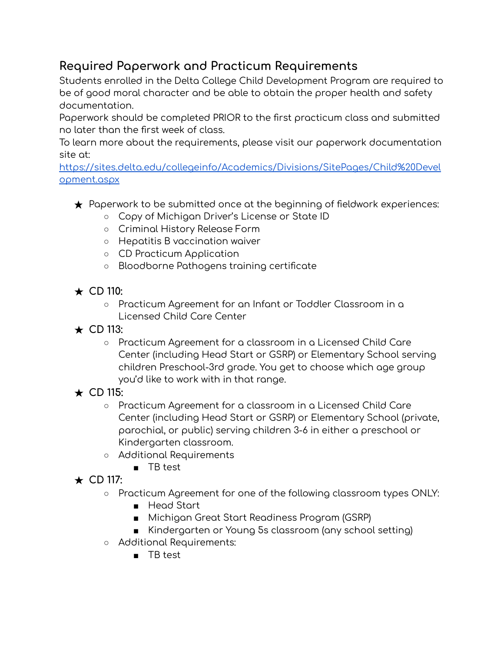## **Required Paperwork and Practicum Requirements**

Students enrolled in the Delta College Child Development Program are required to be of good moral character and be able to obtain the proper health and safety documentation.

Paperwork should be completed PRIOR to the first practicum class and submitted no later than the first week of class.

To learn more about the requirements, please visit our paperwork documentation site at:

[https://sites.delta.edu/collegeinfo/Academics/Divisions/SitePages/Child%20Devel](https://sites.delta.edu/collegeinfo/Academics/Divisions/SitePages/Child%20Development.aspx) [opment.aspx](https://sites.delta.edu/collegeinfo/Academics/Divisions/SitePages/Child%20Development.aspx)

- $\star$  Paperwork to be submitted once at the beginning of fieldwork experiences:
	- Copy of Michigan Driver's License or State ID
	- Criminal History Release Form
	- Hepatitis B vaccination waiver
	- CD Practicum Application
	- Bloodborne Pathogens training certificate
- **★ CD 110:**
	- Practicum Agreement for an Infant or Toddler Classroom in a Licensed Child Care Center
- **★ CD 113:**
	- Practicum Agreement for a classroom in a Licensed Child Care Center (including Head Start or GSRP) or Elementary School serving children Preschool-3rd grade. You get to choose which age group you'd like to work with in that range.
- **★ CD 115:**
	- Practicum Agreement for a classroom in a Licensed Child Care Center (including Head Start or GSRP) or Elementary School (private, parochial, or public) serving children 3-6 in either a preschool or Kindergarten classroom.
	- Additional Requirements
		- TB test
- **★ CD 117:**
	- Practicum Agreement for one of the following classroom types ONLY:
		- Head Start
		- Michigan Great Start Readiness Program (GSRP)
		- Kindergarten or Young 5s classroom (any school setting)
	- Additional Requirements:
		- TB test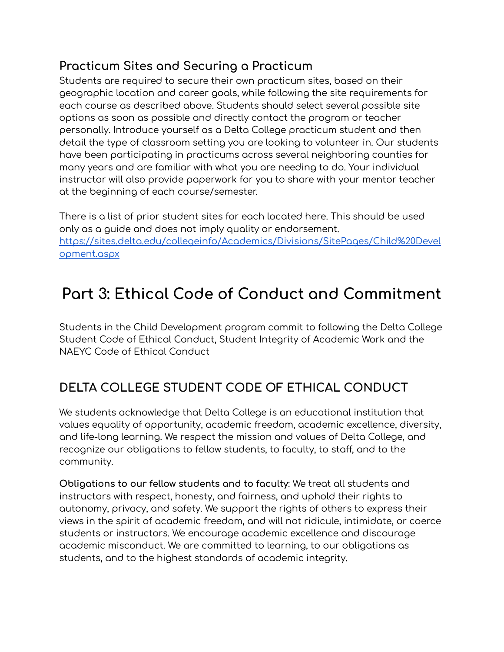## **Practicum Sites and Securing a Practicum**

Students are required to secure their own practicum sites, based on their geographic location and career goals, while following the site requirements for each course as described above. Students should select several possible site options as soon as possible and directly contact the program or teacher personally. Introduce yourself as a Delta College practicum student and then detail the type of classroom setting you are looking to volunteer in. Our students have been participating in practicums across several neighboring counties for many years and are familiar with what you are needing to do. Your individual instructor will also provide paperwork for you to share with your mentor teacher at the beginning of each course/semester.

There is a list of prior student sites for each located here. This should be used only as a guide and does not imply quality or endorsement. [https://sites.delta.edu/collegeinfo/Academics/Divisions/SitePages/Child%20Devel](https://sites.delta.edu/collegeinfo/Academics/Divisions/SitePages/Child%20Development.aspx) [opment.aspx](https://sites.delta.edu/collegeinfo/Academics/Divisions/SitePages/Child%20Development.aspx)

## **Part 3: Ethical Code of Conduct and Commitment**

Students in the Child Development program commit to following the Delta College Student Code of Ethical Conduct, Student Integrity of Academic Work and the NAEYC Code of Ethical Conduct

## **DELTA COLLEGE STUDENT CODE OF ETHICAL CONDUCT**

We students acknowledge that Delta College is an educational institution that values equality of opportunity, academic freedom, academic excellence, diversity, and life-long learning. We respect the mission and values of Delta College, and recognize our obligations to fellow students, to faculty, to staff, and to the community.

**Obligations to our fellow students and to faculty**: We treat all students and instructors with respect, honesty, and fairness, and uphold their rights to autonomy, privacy, and safety. We support the rights of others to express their views in the spirit of academic freedom, and will not ridicule, intimidate, or coerce students or instructors. We encourage academic excellence and discourage academic misconduct. We are committed to learning, to our obligations as students, and to the highest standards of academic integrity.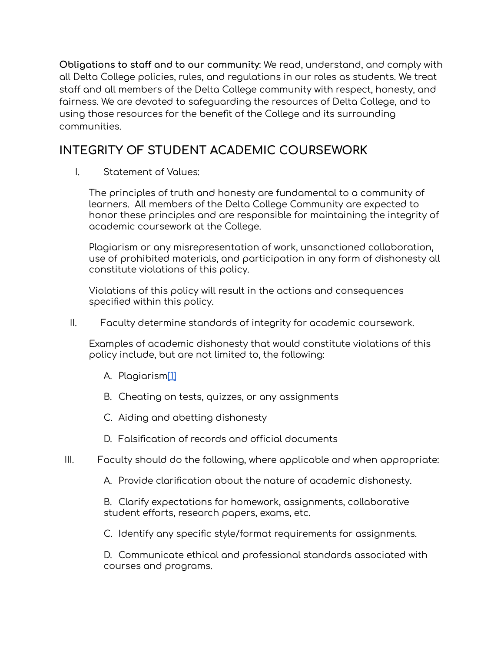**Obligations to staff and to our community**: We read, understand, and comply with all Delta College policies, rules, and regulations in our roles as students. We treat staff and all members of the Delta College community with respect, honesty, and fairness. We are devoted to safeguarding the resources of Delta College, and to using those resources for the benefit of the College and its surrounding communities.

## **INTEGRITY OF STUDENT ACADEMIC COURSEWORK**

I. Statement of Values:

The principles of truth and honesty are fundamental to a community of learners. All members of the Delta College Community are expected to honor these principles and are responsible for maintaining the integrity of academic coursework at the College.

Plagiarism or any misrepresentation of work, unsanctioned collaboration, use of prohibited materials, and participation in any form of dishonesty all constitute violations of this policy.

Violations of this policy will result in the actions and consequences specified within this policy.

II. Faculty determine standards of integrity for academic coursework.

Examples of academic dishonesty that would constitute violations of this policy include, but are not limited to, the following:

- A. Plagiarism[\[1\]](https://sites.delta.edu/employeeinfo/Senate/Senate%20Handbook/4%20060.docx#_ftn1)
- B. Cheating on tests, quizzes, or any assignments
- C. Aiding and abetting dishonesty
- D. Falsification of records and official documents
- III. Faculty should do the following, where applicable and when appropriate:

A. Provide clarification about the nature of academic dishonesty.

B. Clarify expectations for homework, assignments, collaborative student efforts, research papers, exams, etc.

C. Identify any specific style/format requirements for assignments.

D. Communicate ethical and professional standards associated with courses and programs.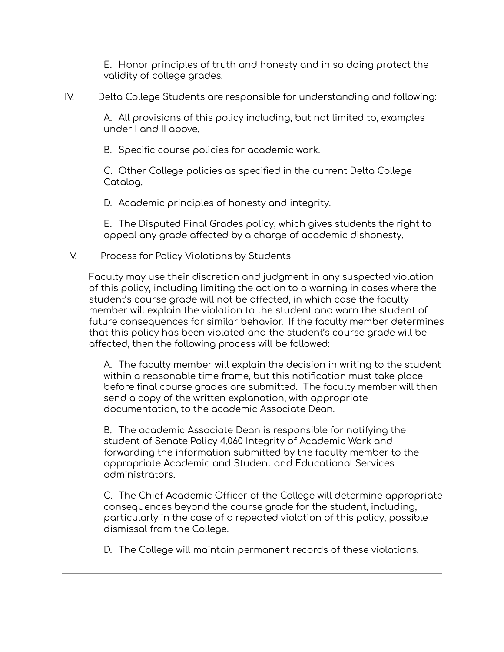E. Honor principles of truth and honesty and in so doing protect the validity of college grades.

IV. Delta College Students are responsible for understanding and following:

A. All provisions of this policy including, but not limited to, examples under I and II above.

B. Specific course policies for academic work.

C. Other College policies as specified in the current Delta College Catalog.

D. Academic principles of honesty and integrity.

E. The Disputed Final Grades policy, which gives students the right to appeal any grade affected by a charge of academic dishonesty.

### V. Process for Policy Violations by Students

Faculty may use their discretion and judgment in any suspected violation of this policy, including limiting the action to a warning in cases where the student's course grade will not be affected, in which case the faculty member will explain the violation to the student and warn the student of future consequences for similar behavior. If the faculty member determines that this policy has been violated and the student's course grade will be affected, then the following process will be followed:

A. The faculty member will explain the decision in writing to the student within a reasonable time frame, but this notification must take place before final course grades are submitted. The faculty member will then send a copy of the written explanation, with appropriate documentation, to the academic Associate Dean.

B. The academic Associate Dean is responsible for notifying the student of Senate Policy 4.060 Integrity of Academic Work and forwarding the information submitted by the faculty member to the appropriate Academic and Student and Educational Services administrators.

C. The Chief Academic Officer of the College will determine appropriate consequences beyond the course grade for the student, including, particularly in the case of a repeated violation of this policy, possible dismissal from the College.

D. The College will maintain permanent records of these violations.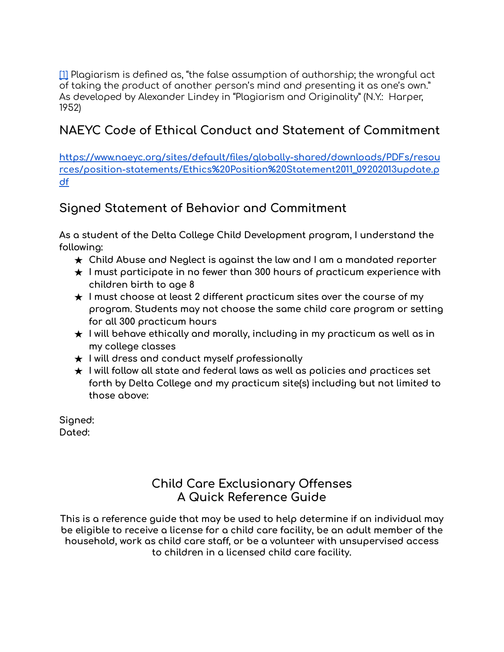[\[1\]](https://sites.delta.edu/employeeinfo/Senate/Senate%20Handbook/4%20060.docx#_ftnref1) Plagiarism is defined as, "the false assumption of authorship; the wrongful act of taking the product of another person's mind and presenting it as one's own." As developed by Alexander Lindey in "Plagiarism and Originality" (N.Y.: Harper, 1952)

## **NAEYC Code of Ethical Conduct and Statement of Commitment**

**[https://www.naeyc.org/sites/default/files/globally-shared/downloads/PDFs/resou](https://www.naeyc.org/sites/default/files/globally-shared/downloads/PDFs/resources/position-statements/Ethics%20Position%20Statement2011_09202013update.pdf) [rces/position-statements/Ethics%20Position%20Statement2011\\_09202013update.p](https://www.naeyc.org/sites/default/files/globally-shared/downloads/PDFs/resources/position-statements/Ethics%20Position%20Statement2011_09202013update.pdf) [df](https://www.naeyc.org/sites/default/files/globally-shared/downloads/PDFs/resources/position-statements/Ethics%20Position%20Statement2011_09202013update.pdf)**

## **Signed Statement of Behavior and Commitment**

**As a student of the Delta College Child Development program, I understand the following:**

- **★ Child Abuse and Neglect is against the law and I am a mandated reporter**
- **★ I must participate in no fewer than 300 hours of practicum experience with children birth to age 8**
- **★ I must choose at least 2 different practicum sites over the course of my program. Students may not choose the same child care program or setting for all 300 practicum hours**
- **★ I will behave ethically and morally, including in my practicum as well as in my college classes**
- **★ I will dress and conduct myself professionally**
- **★ I will follow all state and federal laws as well as policies and practices set forth by Delta College and my practicum site(s) including but not limited to those above:**

**Signed: Dated:**

## **Child Care Exclusionary Offenses A Quick Reference Guide**

**This is a reference guide that may be used to help determine if an individual may be eligible to receive a license for a child care facility, be an adult member of the household, work as child care staff, or be a volunteer with unsupervised access to children in a licensed child care facility.**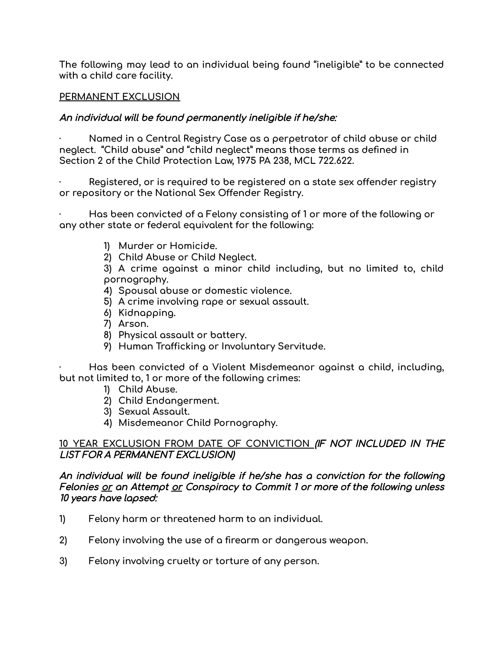**The following may lead to an individual being found "ineligible" to be connected with a child care facility.**

### **PERMANENT EXCLUSION**

### An individual will be found permanently ineligible if he/she:

**· Named in a Central Registry Case as a perpetrator of child abuse or child neglect. "Child abuse" and "child neglect" means those terms as defined in Section 2 of the Child Protection Law, 1975 PA 238, MCL 722.622.**

**· Registered, or is required to be registered on a state sex offender registry or repository or the National Sex Offender Registry.**

**· Has been convicted of a Felony consisting of 1 or more of the following or any other state or federal equivalent for the following:**

- **1) Murder or Homicide.**
- **2) Child Abuse or Child Neglect.**

**3) A crime against a minor child including, but no limited to, child pornography.**

- **4) Spousal abuse or domestic violence.**
- **5) A crime involving rape or sexual assault.**
- **6) Kidnapping.**
- **7) Arson.**
- **8) Physical assault or battery.**
- **9) Human Trafficking or Involuntary Servitude.**

**· Has been convicted of a Violent Misdemeanor against a child, including, but not limited to, 1 or more of the following crimes:**

- **1) Child Abuse.**
- **2) Child Endangerment.**
- **3) Sexual Assault.**
- **4) Misdemeanor Child Pornography.**

### **10 YEAR EXCLUSION FROM DATE OF CONVICTION** (IF NOT INCLUDED IN THE LIST FOR A PERMANENT EXCLUSION)

An individual will be found ineligible if he/she has <sup>a</sup> conviction for the following Felonies or an Attempt or Conspiracy to Commit 1 or more of the following unless 10 years have lapsed:

- **1) Felony harm or threatened harm to an individual.**
- **2) Felony involving the use of a firearm or dangerous weapon.**
- **3) Felony involving cruelty or torture of any person.**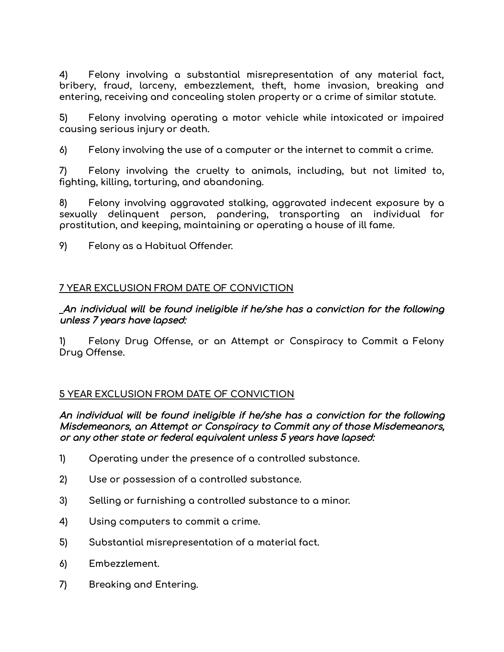**4) Felony involving a substantial misrepresentation of any material fact, bribery, fraud, larceny, embezzlement, theft, home invasion, breaking and entering, receiving and concealing stolen property or a crime of similar statute.**

**5) Felony involving operating a motor vehicle while intoxicated or impaired causing serious injury or death.**

**6) Felony involving the use of a computer or the internet to commit a crime.**

**7) Felony involving the cruelty to animals, including, but not limited to, fighting, killing, torturing, and abandoning.**

**8) Felony involving aggravated stalking, aggravated indecent exposure by a sexually delinquent person, pandering, transporting an individual for prostitution, and keeping, maintaining or operating a house of ill fame.**

**9) Felony as a Habitual Offender.**

### **7 YEAR EXCLUSION FROM DATE OF CONVICTION**

An individual will be found ineligible if he/she has <sup>a</sup> conviction for the following unless 7 years have lapsed:

**1) Felony Drug Offense, or an Attempt or Conspiracy to Commit a Felony Drug Offense.**

### **5 YEAR EXCLUSION FROM DATE OF CONVICTION**

An individual will be found ineligible if he/she has <sup>a</sup> conviction for the following Misdemeanors, an Attempt or Conspiracy to Commit any of those Misdemeanors, or any other state or federal equivalent unless 5 years have lapsed:

- **1) Operating under the presence of a controlled substance.**
- **2) Use or possession of a controlled substance.**
- **3) Selling or furnishing a controlled substance to a minor.**
- **4) Using computers to commit a crime.**
- **5) Substantial misrepresentation of a material fact.**
- **6) Embezzlement.**
- **7) Breaking and Entering.**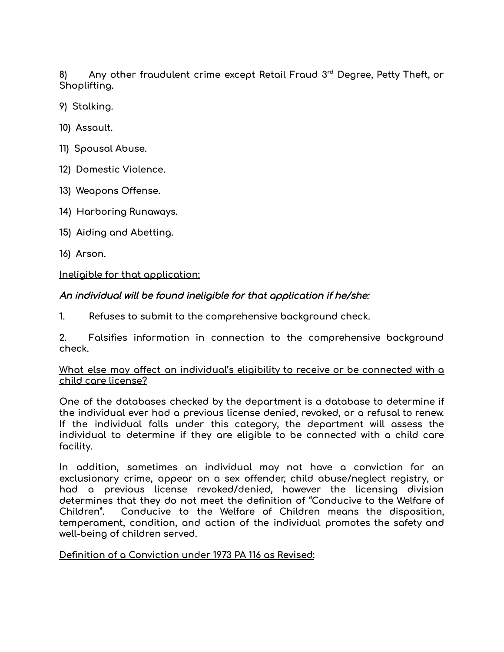**8) Any other fraudulent crime except Retail Fraud 3 rd Degree, Petty Theft, or Shoplifting.**

- **9) Stalking.**
- **10) Assault.**
- **11) Spousal Abuse.**
- **12) Domestic Violence.**
- **13) Weapons Offense.**
- **14) Harboring Runaways.**
- **15) Aiding and Abetting.**
- **16) Arson.**

### **Ineligible for that application:**

### An individual will be found ineligible for that application if he/she:

**1. Refuses to submit to the comprehensive background check.**

**2. Falsifies information in connection to the comprehensive background check.**

### **What else may affect an individual's eligibility to receive or be connected with a child care license?**

**One of the databases checked by the department is a database to determine if the individual ever had a previous license denied, revoked, or a refusal to renew. If the individual falls under this category, the department will assess the individual to determine if they are eligible to be connected with a child care facility.**

**In addition, sometimes an individual may not have a conviction for an exclusionary crime, appear on a sex offender, child abuse/neglect registry, or had a previous license revoked/denied, however the licensing division determines that they do not meet the definition of "Conducive to the Welfare of Children". Conducive to the Welfare of Children means the disposition, temperament, condition, and action of the individual promotes the safety and well-being of children served.**

### **Definition of a Conviction under 1973 PA 116 as Revised:**